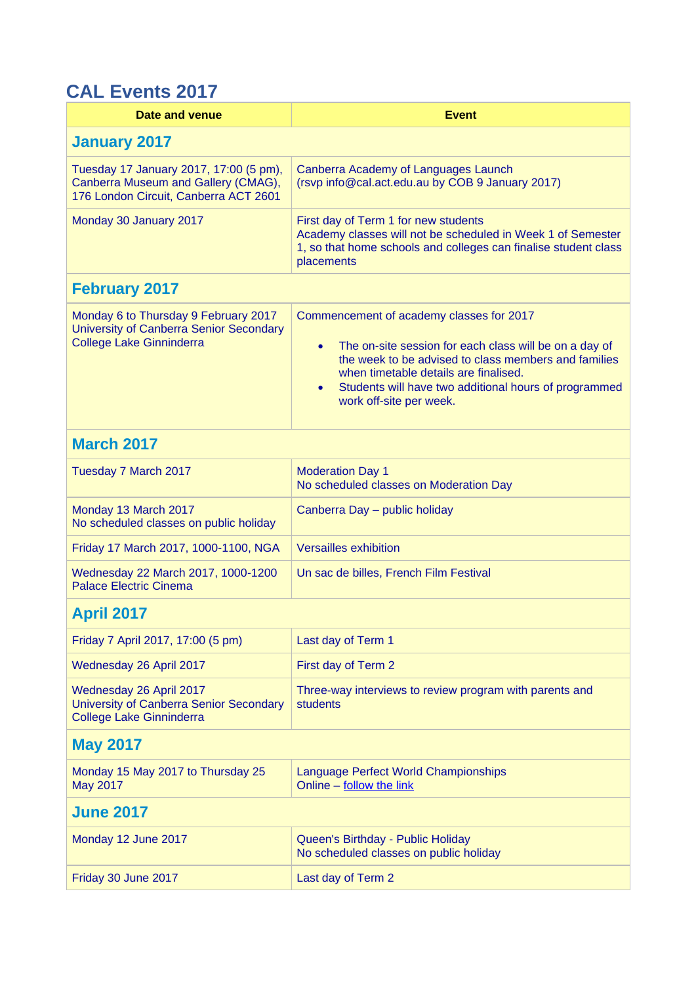## **CAL Events 2017**

| Date and venue                                                                                                            | <b>Event</b>                                                                                                                                                                                                                                                                                         |  |
|---------------------------------------------------------------------------------------------------------------------------|------------------------------------------------------------------------------------------------------------------------------------------------------------------------------------------------------------------------------------------------------------------------------------------------------|--|
| <b>January 2017</b>                                                                                                       |                                                                                                                                                                                                                                                                                                      |  |
| Tuesday 17 January 2017, 17:00 (5 pm),<br>Canberra Museum and Gallery (CMAG),<br>176 London Circuit, Canberra ACT 2601    | Canberra Academy of Languages Launch<br>(rsvp info@cal.act.edu.au by COB 9 January 2017)                                                                                                                                                                                                             |  |
| Monday 30 January 2017                                                                                                    | First day of Term 1 for new students<br>Academy classes will not be scheduled in Week 1 of Semester<br>1, so that home schools and colleges can finalise student class<br>placements                                                                                                                 |  |
| <b>February 2017</b>                                                                                                      |                                                                                                                                                                                                                                                                                                      |  |
| Monday 6 to Thursday 9 February 2017<br><b>University of Canberra Senior Secondary</b><br><b>College Lake Ginninderra</b> | Commencement of academy classes for 2017<br>The on-site session for each class will be on a day of<br>$\bullet$<br>the week to be advised to class members and families<br>when timetable details are finalised.<br>Students will have two additional hours of programmed<br>work off-site per week. |  |
| <b>March 2017</b>                                                                                                         |                                                                                                                                                                                                                                                                                                      |  |
| Tuesday 7 March 2017                                                                                                      | <b>Moderation Day 1</b><br>No scheduled classes on Moderation Day                                                                                                                                                                                                                                    |  |
| Monday 13 March 2017<br>No scheduled classes on public holiday                                                            | Canberra Day - public holiday                                                                                                                                                                                                                                                                        |  |
| Friday 17 March 2017, 1000-1100, NGA                                                                                      | <b>Versailles exhibition</b>                                                                                                                                                                                                                                                                         |  |
| Wednesday 22 March 2017, 1000-1200<br><b>Palace Electric Cinema</b>                                                       | Un sac de billes, French Film Festival                                                                                                                                                                                                                                                               |  |
| <b>April 2017</b>                                                                                                         |                                                                                                                                                                                                                                                                                                      |  |
| $Findov 7 \text{ An}^{-1} 2047 47.00 (F \text{ nm})$                                                                      | $1$ and dought $T_{\text{arm}}$ 1                                                                                                                                                                                                                                                                    |  |

| Friday 7 April 2017, 17:00 (5 pm)                                                              | Last day of Term 1                                                  |  |
|------------------------------------------------------------------------------------------------|---------------------------------------------------------------------|--|
| Wednesday 26 April 2017                                                                        | First day of Term 2                                                 |  |
| Wednesday 26 April 2017<br>University of Canberra Senior Secondary<br>College Lake Ginninderra | Three-way interviews to review program with parents and<br>students |  |
| <b>May 2017</b>                                                                                |                                                                     |  |
| Monday 15 May 2017 to Thursday 25<br>May 2017                                                  | Language Perfect World Championships<br>Online – follow the link    |  |
| <b>June 2017</b>                                                                               |                                                                     |  |

| Monday 12 June 2017 | Queen's Birthday - Public Holiday<br>No scheduled classes on public holiday |
|---------------------|-----------------------------------------------------------------------------|
| Friday 30 June 2017 | Last day of Term 2                                                          |